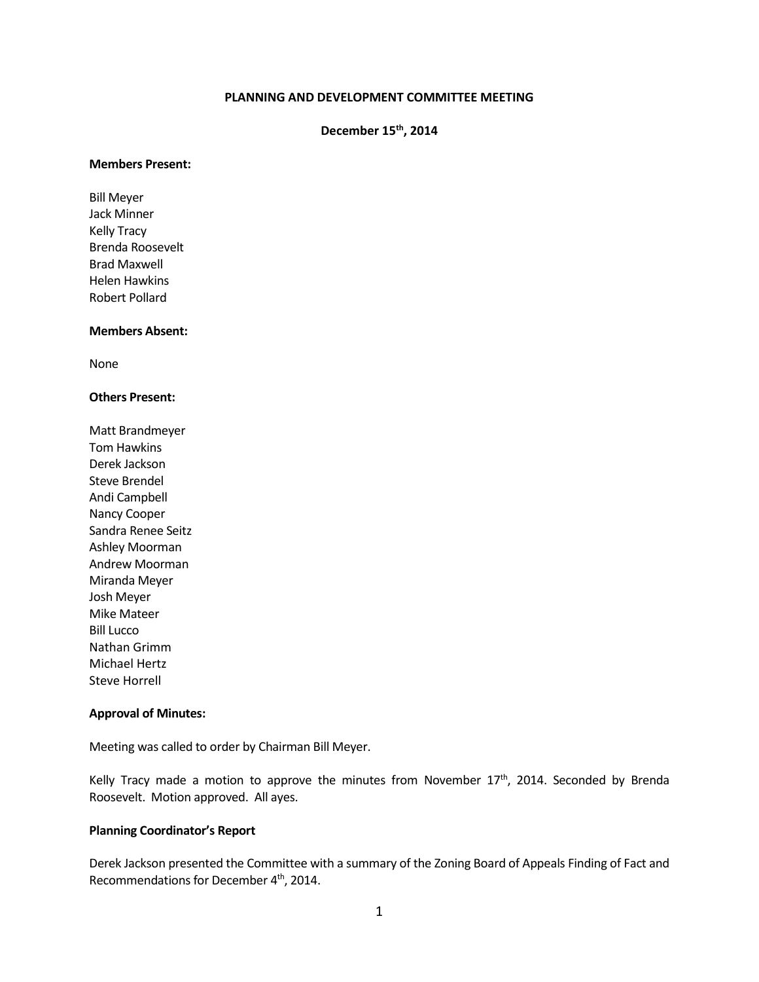### **PLANNING AND DEVELOPMENT COMMITTEE MEETING**

# **December 15th, 2014**

#### **Members Present:**

Bill Meyer Jack Minner Kelly Tracy Brenda Roosevelt Brad Maxwell Helen Hawkins Robert Pollard

#### **Members Absent:**

None

## **Others Present:**

Matt Brandmeyer Tom Hawkins Derek Jackson Steve Brendel Andi Campbell Nancy Cooper Sandra Renee Seitz Ashley Moorman Andrew Moorman Miranda Meyer Josh Meyer Mike Mateer Bill Lucco Nathan Grimm Michael Hertz Steve Horrell

## **Approval of Minutes:**

Meeting was called to order by Chairman Bill Meyer.

Kelly Tracy made a motion to approve the minutes from November  $17<sup>th</sup>$ , 2014. Seconded by Brenda Roosevelt. Motion approved. All ayes.

#### **Planning Coordinator's Report**

Derek Jackson presented the Committee with a summary of the Zoning Board of Appeals Finding of Fact and Recommendations for December 4<sup>th</sup>, 2014.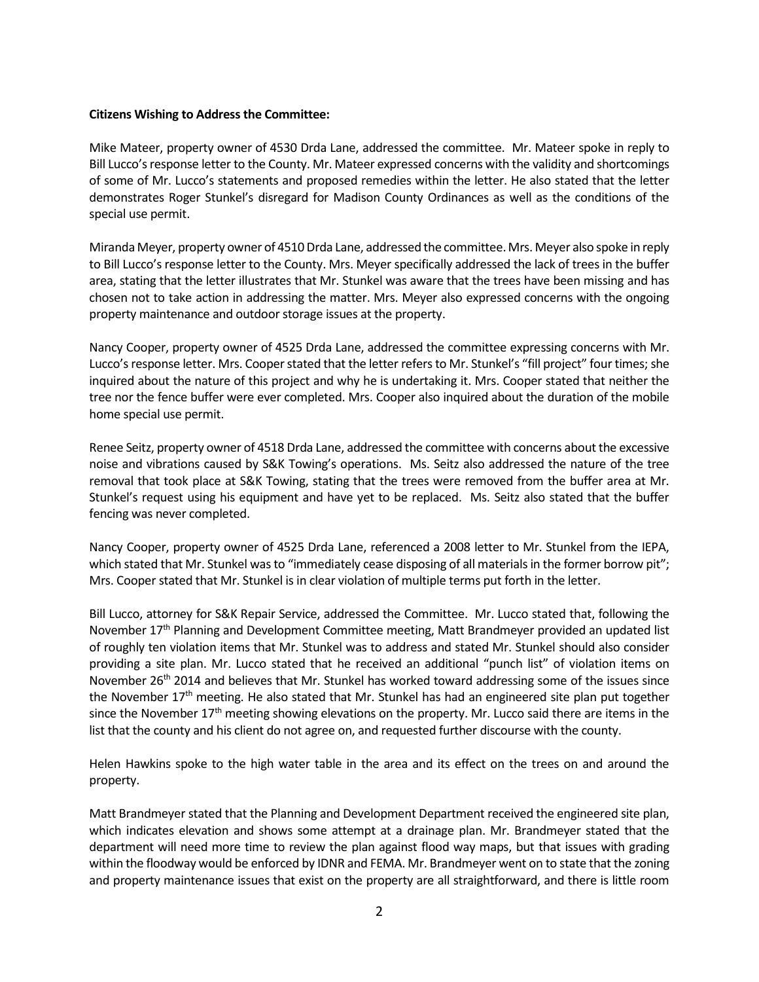## **Citizens Wishing to Address the Committee:**

Mike Mateer, property owner of 4530 Drda Lane, addressed the committee. Mr. Mateer spoke in reply to Bill Lucco's response letter to the County. Mr. Mateer expressed concerns with the validity and shortcomings of some of Mr. Lucco's statements and proposed remedies within the letter. He also stated that the letter demonstrates Roger Stunkel's disregard for Madison County Ordinances as well as the conditions of the special use permit.

Miranda Meyer, property owner of 4510 Drda Lane, addressed the committee. Mrs. Meyer also spoke in reply to Bill Lucco's response letter to the County. Mrs. Meyer specifically addressed the lack of trees in the buffer area, stating that the letter illustrates that Mr. Stunkel was aware that the trees have been missing and has chosen not to take action in addressing the matter. Mrs. Meyer also expressed concerns with the ongoing property maintenance and outdoor storage issues at the property.

Nancy Cooper, property owner of 4525 Drda Lane, addressed the committee expressing concerns with Mr. Lucco's response letter. Mrs. Cooper stated that the letter refers to Mr. Stunkel's "fill project" four times; she inquired about the nature of this project and why he is undertaking it. Mrs. Cooper stated that neither the tree nor the fence buffer were ever completed. Mrs. Cooper also inquired about the duration of the mobile home special use permit.

Renee Seitz, property owner of 4518 Drda Lane, addressed the committee with concerns about the excessive noise and vibrations caused by S&K Towing's operations. Ms. Seitz also addressed the nature of the tree removal that took place at S&K Towing, stating that the trees were removed from the buffer area at Mr. Stunkel's request using his equipment and have yet to be replaced. Ms. Seitz also stated that the buffer fencing was never completed.

Nancy Cooper, property owner of 4525 Drda Lane, referenced a 2008 letter to Mr. Stunkel from the IEPA, which stated that Mr. Stunkel was to "immediately cease disposing of all materials in the former borrow pit"; Mrs. Cooper stated that Mr. Stunkel is in clear violation of multiple terms put forth in the letter.

Bill Lucco, attorney for S&K Repair Service, addressed the Committee. Mr. Lucco stated that, following the November  $17<sup>th</sup>$  Planning and Development Committee meeting, Matt Brandmeyer provided an updated list of roughly ten violation items that Mr. Stunkel was to address and stated Mr. Stunkel should also consider providing a site plan. Mr. Lucco stated that he received an additional "punch list" of violation items on November 26<sup>th</sup> 2014 and believes that Mr. Stunkel has worked toward addressing some of the issues since the November  $17<sup>th</sup>$  meeting. He also stated that Mr. Stunkel has had an engineered site plan put together since the November  $17<sup>th</sup>$  meeting showing elevations on the property. Mr. Lucco said there are items in the list that the county and his client do not agree on, and requested further discourse with the county.

Helen Hawkins spoke to the high water table in the area and its effect on the trees on and around the property.

Matt Brandmeyer stated that the Planning and Development Department received the engineered site plan, which indicates elevation and shows some attempt at a drainage plan. Mr. Brandmeyer stated that the department will need more time to review the plan against flood way maps, but that issues with grading within the floodway would be enforced by IDNR and FEMA. Mr. Brandmeyer went on to state that the zoning and property maintenance issues that exist on the property are all straightforward, and there is little room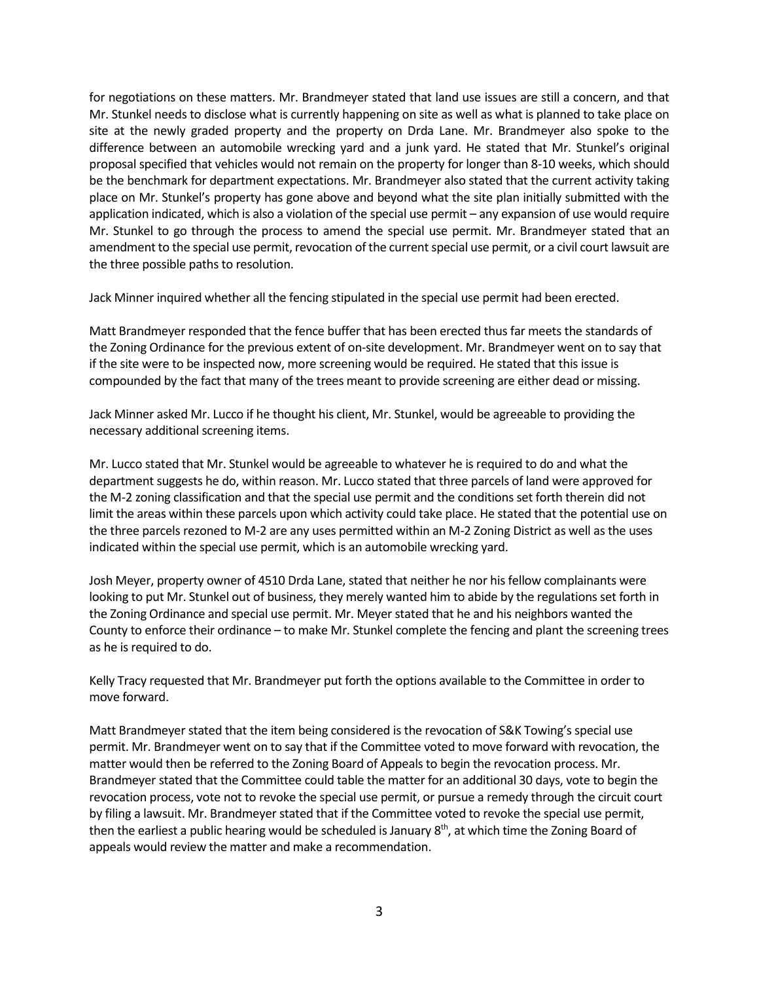for negotiations on these matters. Mr. Brandmeyer stated that land use issues are still a concern, and that Mr. Stunkel needs to disclose what is currently happening on site as well as what is planned to take place on site at the newly graded property and the property on Drda Lane. Mr. Brandmeyer also spoke to the difference between an automobile wrecking yard and a junk yard. He stated that Mr. Stunkel's original proposal specified that vehicles would not remain on the property for longer than 8-10 weeks, which should be the benchmark for department expectations. Mr. Brandmeyer also stated that the current activity taking place on Mr. Stunkel's property has gone above and beyond what the site plan initially submitted with the application indicated, which is also a violation of the special use permit – any expansion of use would require Mr. Stunkel to go through the process to amend the special use permit. Mr. Brandmeyer stated that an amendment to the special use permit, revocation of the current special use permit, or a civil court lawsuit are the three possible paths to resolution.

Jack Minner inquired whether all the fencing stipulated in the special use permit had been erected.

Matt Brandmeyer responded that the fence buffer that has been erected thus far meets the standards of the Zoning Ordinance for the previous extent of on-site development. Mr. Brandmeyer went on to say that if the site were to be inspected now, more screening would be required. He stated that this issue is compounded by the fact that many of the trees meant to provide screening are either dead or missing.

Jack Minner asked Mr. Lucco if he thought his client, Mr. Stunkel, would be agreeable to providing the necessary additional screening items.

Mr. Lucco stated that Mr. Stunkel would be agreeable to whatever he is required to do and what the department suggests he do, within reason. Mr. Lucco stated that three parcels of land were approved for the M-2 zoning classification and that the special use permit and the conditions set forth therein did not limit the areas within these parcels upon which activity could take place. He stated that the potential use on the three parcels rezoned to M-2 are any uses permitted within an M-2 Zoning District as well as the uses indicated within the special use permit, which is an automobile wrecking yard.

Josh Meyer, property owner of 4510 Drda Lane, stated that neither he nor his fellow complainants were looking to put Mr. Stunkel out of business, they merely wanted him to abide by the regulations set forth in the Zoning Ordinance and special use permit. Mr. Meyer stated that he and his neighbors wanted the County to enforce their ordinance – to make Mr. Stunkel complete the fencing and plant the screening trees as he is required to do.

Kelly Tracy requested that Mr. Brandmeyer put forth the options available to the Committee in order to move forward.

Matt Brandmeyer stated that the item being considered is the revocation of S&K Towing's special use permit. Mr. Brandmeyer went on to say that if the Committee voted to move forward with revocation, the matter would then be referred to the Zoning Board of Appeals to begin the revocation process. Mr. Brandmeyer stated that the Committee could table the matter for an additional 30 days, vote to begin the revocation process, vote not to revoke the special use permit, or pursue a remedy through the circuit court by filing a lawsuit. Mr. Brandmeyer stated that if the Committee voted to revoke the special use permit, then the earliest a public hearing would be scheduled is January  $8<sup>th</sup>$ , at which time the Zoning Board of appeals would review the matter and make a recommendation.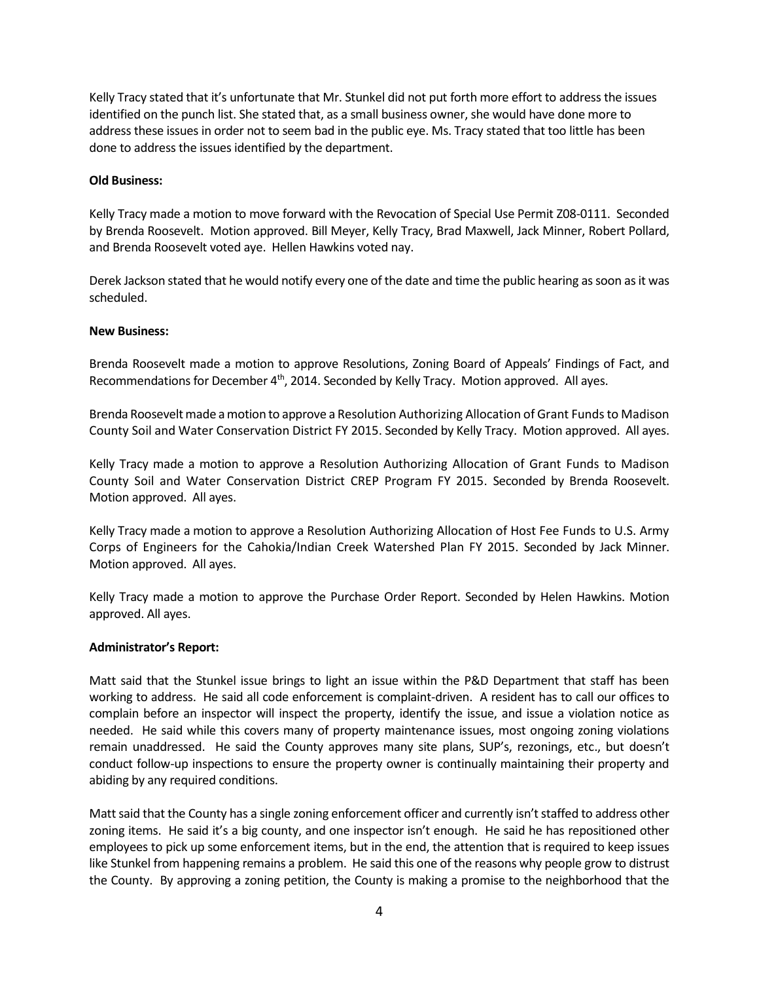Kelly Tracy stated that it's unfortunate that Mr. Stunkel did not put forth more effort to address the issues identified on the punch list. She stated that, as a small business owner, she would have done more to address these issues in order not to seem bad in the public eye. Ms. Tracy stated that too little has been done to address the issues identified by the department.

## **Old Business:**

Kelly Tracy made a motion to move forward with the Revocation of Special Use Permit Z08-0111. Seconded by Brenda Roosevelt. Motion approved. Bill Meyer, Kelly Tracy, Brad Maxwell, Jack Minner, Robert Pollard, and Brenda Roosevelt voted aye. Hellen Hawkins voted nay.

Derek Jackson stated that he would notify every one of the date and time the public hearing as soon as it was scheduled.

## **New Business:**

Brenda Roosevelt made a motion to approve Resolutions, Zoning Board of Appeals' Findings of Fact, and Recommendations for December 4<sup>th</sup>, 2014. Seconded by Kelly Tracy. Motion approved. All ayes.

Brenda Roosevelt made a motion to approve a Resolution Authorizing Allocation of Grant Funds to Madison County Soil and Water Conservation District FY 2015. Seconded by Kelly Tracy. Motion approved. All ayes.

Kelly Tracy made a motion to approve a Resolution Authorizing Allocation of Grant Funds to Madison County Soil and Water Conservation District CREP Program FY 2015. Seconded by Brenda Roosevelt. Motion approved. All ayes.

Kelly Tracy made a motion to approve a Resolution Authorizing Allocation of Host Fee Funds to U.S. Army Corps of Engineers for the Cahokia/Indian Creek Watershed Plan FY 2015. Seconded by Jack Minner. Motion approved. All ayes.

Kelly Tracy made a motion to approve the Purchase Order Report. Seconded by Helen Hawkins. Motion approved. All ayes.

## **Administrator's Report:**

Matt said that the Stunkel issue brings to light an issue within the P&D Department that staff has been working to address. He said all code enforcement is complaint-driven. A resident has to call our offices to complain before an inspector will inspect the property, identify the issue, and issue a violation notice as needed. He said while this covers many of property maintenance issues, most ongoing zoning violations remain unaddressed. He said the County approves many site plans, SUP's, rezonings, etc., but doesn't conduct follow-up inspections to ensure the property owner is continually maintaining their property and abiding by any required conditions.

Matt said that the County has a single zoning enforcement officer and currently isn't staffed to address other zoning items. He said it's a big county, and one inspector isn't enough. He said he has repositioned other employees to pick up some enforcement items, but in the end, the attention that is required to keep issues like Stunkel from happening remains a problem. He said this one of the reasons why people grow to distrust the County. By approving a zoning petition, the County is making a promise to the neighborhood that the